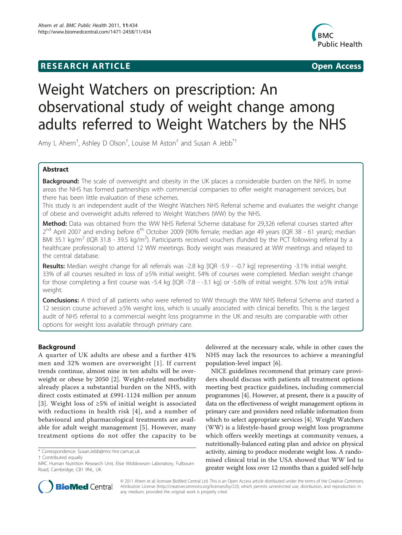# **RESEARCH ARTICLE Example 2018 12:30 THE Open Access**



# Weight Watchers on prescription: An observational study of weight change among adults referred to Weight Watchers by the NHS

Amy L Ahern<sup>†</sup>, Ashley D Olson<sup>†</sup>, Louise M Aston<sup>†</sup> and Susan A Jebb<sup>\*†</sup>

# Abstract

Background: The scale of overweight and obesity in the UK places a considerable burden on the NHS. In some areas the NHS has formed partnerships with commercial companies to offer weight management services, but there has been little evaluation of these schemes.

This study is an independent audit of the Weight Watchers NHS Referral scheme and evaluates the weight change of obese and overweight adults referred to Weight Watchers (WW) by the NHS.

Method: Data was obtained from the WW NHS Referral Scheme database for 29,326 referral courses started after 2<sup>nd</sup> April 2007 and ending before 6<sup>th</sup> October 2009 [90% female; median age 49 years (IQR 38 - 61 years); median BMI 35.1 kg/m<sup>2</sup> (IQR 31.8 - 39.5 kg/m<sup>2</sup>). Participants received vouchers (funded by the PCT following referral by a healthcare professional) to attend 12 WW meetings. Body weight was measured at WW meetings and relayed to the central database.

Results: Median weight change for all referrals was -2.8 kg [IQR -5.9 - -0.7 kg] representing -3.1% initial weight. 33% of all courses resulted in loss of ≥5% initial weight. 54% of courses were completed. Median weight change for those completing a first course was -5.4 kg [IQR -7.8 - -3.1 kg] or -5.6% of initial weight. 57% lost ≥5% initial weight.

**Conclusions:** A third of all patients who were referred to WW through the WW NHS Referral Scheme and started a 12 session course achieved ≥5% weight loss, which is usually associated with clinical benefits. This is the largest audit of NHS referral to a commercial weight loss programme in the UK and results are comparable with other options for weight loss available through primary care.

# Background

A quarter of UK adults are obese and a further 41% men and 32% women are overweight [[1](#page-4-0)]. If current trends continue, almost nine in ten adults will be overweight or obese by 2050 [[2](#page-4-0)]. Weight-related morbidity already places a substantial burden on the NHS, with direct costs estimated at £991-1124 million per annum [[3](#page-4-0)]. Weight loss of ≥5% of initial weight is associated with reductions in health risk [[4](#page-4-0)], and a number of behavioural and pharmacological treatments are available for adult weight management [\[5](#page-4-0)]. However, many treatment options do not offer the capacity to be

† Contributed equally

delivered at the necessary scale, while in other cases the NHS may lack the resources to achieve a meaningful population-level impact [[6\]](#page-4-0).

NICE guidelines recommend that primary care providers should discuss with patients all treatment options meeting best practice guidelines, including commercial programmes [\[4](#page-4-0)]. However, at present, there is a paucity of data on the effectiveness of weight management options in primary care and providers need reliable information from which to select appropriate services [\[4](#page-4-0)]. Weight Watchers (WW) is a lifestyle-based group weight loss programme which offers weekly meetings at community venues, a nutritionally-balanced eating plan and advice on physical activity, aiming to produce moderate weight loss. A randomised clinical trial in the USA showed that WW led to greater weight loss over 12 months than a guided self-help



© 2011 Ahern et al; licensee BioMed Central Ltd. This is an Open Access article distributed under the terms of the Creative Commons Attribution License [\(http://creativecommons.org/licenses/by/2.0](http://creativecommons.org/licenses/by/2.0)), which permits unrestricted use, distribution, and reproduction in any medium, provided the original work is properly cited.

<sup>\*</sup> Correspondence: [Susan.Jebb@mrc-hnr.cam.ac.uk](mailto:Susan.Jebb@mrc-hnr.cam.ac.uk)

MRC Human Nutrition Research Unit, Elsie Widdowson Laboratory, Fulbourn Road, Cambridge, CB1 9NL, UK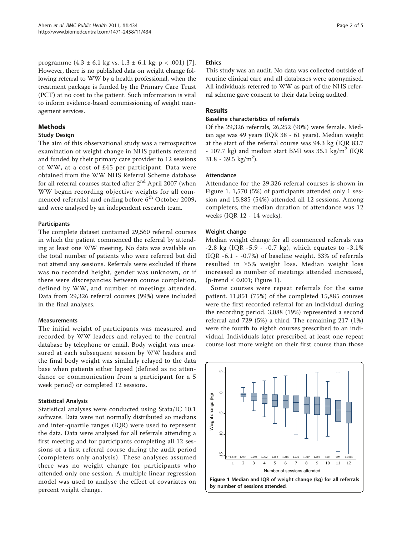programme  $(4.3 \pm 6.1 \text{ kg} \text{ vs. } 1.3 \pm 6.1 \text{ kg} \text{ ; p} < .001)$  [[7\]](#page-4-0). However, there is no published data on weight change following referral to WW by a health professional, when the treatment package is funded by the Primary Care Trust (PCT) at no cost to the patient. Such information is vital to inform evidence-based commissioning of weight management services.

## Methods

#### Study Design

The aim of this observational study was a retrospective examination of weight change in NHS patients referred and funded by their primary care provider to 12 sessions of WW, at a cost of £45 per participant. Data were obtained from the WW NHS Referral Scheme database for all referral courses started after  $2<sup>nd</sup>$  April 2007 (when WW began recording objective weights for all commenced referrals) and ending before  $6<sup>th</sup>$  October 2009, and were analysed by an independent research team.

#### Participants

The complete dataset contained 29,560 referral courses in which the patient commenced the referral by attending at least one WW meeting. No data was available on the total number of patients who were referred but did not attend any sessions. Referrals were excluded if there was no recorded height, gender was unknown, or if there were discrepancies between course completion, defined by WW, and number of meetings attended. Data from 29,326 referral courses (99%) were included in the final analyses.

#### Measurements

The initial weight of participants was measured and recorded by WW leaders and relayed to the central database by telephone or email. Body weight was measured at each subsequent session by WW leaders and the final body weight was similarly relayed to the data base when patients either lapsed (defined as no attendance or communication from a participant for a 5 week period) or completed 12 sessions.

# Statistical Analysis

Statistical analyses were conducted using Stata/IC 10.1 software. Data were not normally distributed so medians and inter-quartile ranges (IQR) were used to represent the data. Data were analysed for all referrals attending a first meeting and for participants completing all 12 sessions of a first referral course during the audit period (completers only analysis). These analyses assumed there was no weight change for participants who attended only one session. A multiple linear regression model was used to analyse the effect of covariates on percent weight change.

#### Ethics

This study was an audit. No data was collected outside of routine clinical care and all databases were anonymised. All individuals referred to WW as part of the NHS referral scheme gave consent to their data being audited.

### Results

#### Baseline characteristics of referrals

Of the 29,326 referrals, 26,252 (90%) were female. Median age was 49 years (IQR 38 - 61 years). Median weight at the start of the referral course was 94.3 kg (IQR 83.7 - 107.7 kg) and median start BMI was  $35.1 \text{ kg/m}^2$  (IQR  $31.8 - 39.5$  kg/m<sup>2</sup>).

#### Attendance

Attendance for the 29,326 referral courses is shown in Figure 1. 1,570 (5%) of participants attended only 1 session and 15,885 (54%) attended all 12 sessions. Among completers, the median duration of attendance was 12 weeks (IQR 12 - 14 weeks).

#### Weight change

Median weight change for all commenced referrals was  $-2.8$  kg (IQR  $-5.9$  -  $-0.7$  kg), which equates to  $-3.1\%$ (IQR -6.1 - -0.7%) of baseline weight. 33% of referrals resulted in ≥5% weight loss. Median weight loss increased as number of meetings attended increased,  $(p$ -trend  $\leq 0.001$ ; Figure 1).

Some courses were repeat referrals for the same patient. 11,851 (75%) of the completed 15,885 courses were the first recorded referral for an individual during the recording period. 3,088 (19%) represented a second referral and 729 (5%) a third. The remaining 217 (1%) were the fourth to eighth courses prescribed to an individual. Individuals later prescribed at least one repeat course lost more weight on their first course than those

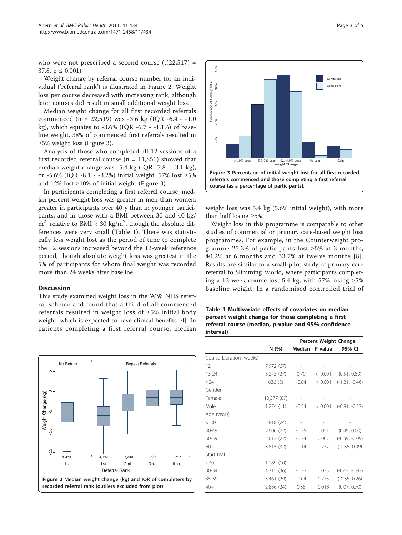who were not prescribed a second course  $(t(22,517))$  = 37.8,  $p \leq 0.001$ ).

Weight change by referral course number for an individual ('referral rank') is illustrated in Figure 2. Weight loss per course decreased with increasing rank, although later courses did result in small additional weight loss.

Median weight change for all first recorded referrals commenced  $(n = 22,519)$  was -3.6 kg (IQR -6.4 - -1.0) kg), which equates to  $-3.6\%$  (IQR  $-6.7$  -  $-1.1\%$ ) of baseline weight. 38% of commenced first referrals resulted in ≥5% weight loss (Figure 3).

Analysis of those who completed all 12 sessions of a first recorded referral course  $(n = 11,851)$  showed that median weight change was -5.4 kg (IQR -7.8 - -3.1 kg), or -5.6% (IQR -8.1 - -3.2%) initial weight. 57% lost ≥5% and 12% lost  $\geq$ 10% of initial weight (Figure 3).

In participants completing a first referral course, median percent weight loss was greater in men than women; greater in participants over 40 y than in younger participants; and in those with a BMI between 30 and 40 kg/  $\rm m^2$ , relative to BMI < 30 kg/m<sup>2</sup>, though the absolute differences were very small (Table 1). There was statistically less weight lost as the period of time to complete the 12 sessions increased beyond the 12-week reference period, though absolute weight loss was greatest in the 5% of participants for whom final weight was recorded more than 24 weeks after baseline.

#### **Discussion**

This study examined weight loss in the WW NHS referral scheme and found that a third of all commenced referrals resulted in weight loss of ≥5% initial body weight, which is expected to have clinical benefits [\[4](#page-4-0)]. In patients completing a first referral course, median





weight loss was 5.4 kg (5.6% initial weight), with more than half losing  $\geq 5\%$ .

Weight loss in this programme is comparable to other studies of commercial or primary care-based weight loss programmes. For example, in the Counterweight programme 25.3% of participants lost ≥5% at 3 months, 40.2% at 6 months and 33.7% at twelve months [[8\]](#page-4-0). Results are similar to a small pilot study of primary care referral to Slimming World, where participants completing a 12 week course lost 5.4 kg, with 57% losing ≥5% baseline weight. In a randomised controlled trial of

| Table 1 Multivariate effects of covariates on median |
|------------------------------------------------------|
| percent weight change for those completing a first   |
| referral course (median, p-value and 95% confidence  |
| interval)                                            |

|                         |             | <b>Percent Weight Change</b> |         |                  |
|-------------------------|-------------|------------------------------|---------|------------------|
|                         | N(%)        | <b>Median</b>                | P value | 95% CI           |
| Course Duration (weeks) |             |                              |         |                  |
| 12                      | 7,972 (67)  | $\overline{\phantom{a}}$     |         |                  |
| $13 - 24$               | 3,243(27)   | 0.70                         | < 0.001 | (0.51, 0.89)     |
| >24                     | 636(5)      | $-0.84$                      | < 0.001 | $(-1.21, -0.46)$ |
| Gender                  |             |                              |         |                  |
| Female                  | 10,577 (89) |                              |         |                  |
| Male                    | 1,274(11)   | -0.54                        | < 0.001 | $(-0.81, -0.27)$ |
| Age (years)             |             |                              |         |                  |
| < 40                    | 2,818 (24)  |                              |         |                  |
| $40 - 49$               | 2,606 (22)  | $-0.25$                      | 0.051   | (0.49, 0.00)     |
| 50-59                   | 2,612(22)   | $-0.34$                      | 0.007   | $(-0.59, -0.09)$ |
| $60+$                   | 3,815 (32)  | $-0.14$                      | 0.237   | $(-0.36, 0.09)$  |
| Start BMI               |             |                              |         |                  |
| <30                     | 1,189 (10)  |                              |         |                  |
| $30 - 34$               | 4,315 (36)  | $-0.32$                      | 0.035   | $(-0.62, -0.02)$ |
| 35-39                   | 3,461 (29)  | $-0.04$                      | 0.775   | $(-0.35, 0.26)$  |
| $40+$                   | 2,886 (24)  | 0.38                         | 0.018   | (0.07, 0.70)     |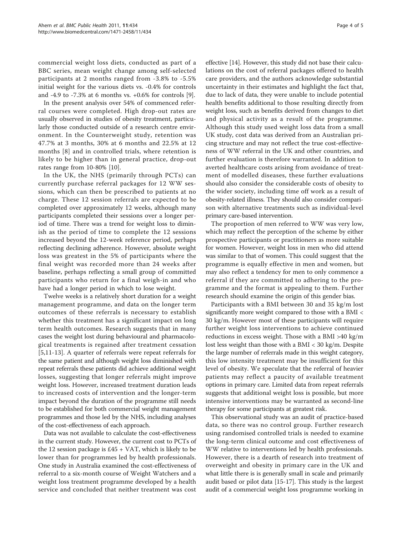commercial weight loss diets, conducted as part of a BBC series, mean weight change among self-selected participants at 2 months ranged from -3.8% to -5.5% initial weight for the various diets vs. -0.4% for controls and -4.9 to -7.3% at 6 months vs. +0.6% for controls [\[9](#page-4-0)].

In the present analysis over 54% of commenced referral courses were completed. High drop-out rates are usually observed in studies of obesity treatment, particularly those conducted outside of a research centre environment. In the Counterweight study, retention was 47.7% at 3 months, 30% at 6 months and 22.5% at 12 months [[8\]](#page-4-0) and in controlled trials, where retention is likely to be higher than in general practice, drop-out rates range from 10-80% [\[10](#page-4-0)].

In the UK, the NHS (primarily through PCTs) can currently purchase referral packages for 12 WW sessions, which can then be prescribed to patients at no charge. These 12 session referrals are expected to be completed over approximately 12 weeks, although many participants completed their sessions over a longer period of time. There was a trend for weight loss to diminish as the period of time to complete the 12 sessions increased beyond the 12-week reference period, perhaps reflecting declining adherence. However, absolute weight loss was greatest in the 5% of participants where the final weight was recorded more than 24 weeks after baseline, perhaps reflecting a small group of committed participants who return for a final weigh-in and who have had a longer period in which to lose weight.

Twelve weeks is a relatively short duration for a weight management programme, and data on the longer term outcomes of these referrals is necessary to establish whether this treatment has a significant impact on long term health outcomes. Research suggests that in many cases the weight lost during behavioural and pharmacological treatments is regained after treatment cessation [[5,11-13\]](#page-4-0). A quarter of referrals were repeat referrals for the same patient and although weight loss diminished with repeat referrals these patients did achieve additional weight losses, suggesting that longer referrals might improve weight loss. However, increased treatment duration leads to increased costs of intervention and the longer-term impact beyond the duration of the programme still needs to be established for both commercial weight management programmes and those led by the NHS, including analyses of the cost-effectiveness of each approach.

Data was not available to calculate the cost-effectiveness in the current study. However, the current cost to PCTs of the 12 session package is  $E45 + VAT$ , which is likely to be lower than for programmes led by health professionals. One study in Australia examined the cost-effectiveness of referral to a six-month course of Weight Watchers and a weight loss treatment programme developed by a health service and concluded that neither treatment was cost

effective [\[14\]](#page-4-0). However, this study did not base their calculations on the cost of referral packages offered to health care providers, and the authors acknowledge substantial uncertainty in their estimates and highlight the fact that, due to lack of data, they were unable to include potential health benefits additional to those resulting directly from weight loss, such as benefits derived from changes to diet and physical activity as a result of the programme. Although this study used weight loss data from a small UK study, cost data was derived from an Australian pricing structure and may not reflect the true cost-effectiveness of WW referral in the UK and other countries, and further evaluation is therefore warranted. In addition to averted healthcare costs arising from avoidance of treatment of modelled diseases, these further evaluations should also consider the considerable costs of obesity to the wider society, including time off work as a result of obesity-related illness. They should also consider comparison with alternative treatments such as individual-level primary care-based intervention.

The proportion of men referred to WW was very low, which may reflect the perception of the scheme by either prospective participants or practitioners as more suitable for women. However, weight loss in men who did attend was similar to that of women. This could suggest that the programme is equally effective in men and women, but may also reflect a tendency for men to only commence a referral if they are committed to adhering to the programme and the format is appealing to them. Further research should examine the origin of this gender bias.

Participants with a BMI between 30 and 35 kg/m lost significantly more weight compared to those with a BMI < 30 kg/m. However most of these participants will require further weight loss interventions to achieve continued reductions in excess weight. Those with a BMI >40 kg/m lost less weight than those with a BMI < 30 kg/m. Despite the large number of referrals made in this weight category, this low intensity treatment may be insufficient for this level of obesity. We speculate that the referral of heavier patients may reflect a paucity of available treatment options in primary care. Limited data from repeat referrals suggests that additional weight loss is possible, but more intensive interventions may be warranted as second-line therapy for some participants at greatest risk.

This observational study was an audit of practice-based data, so there was no control group. Further research using randomised controlled trials is needed to examine the long-term clinical outcome and cost effectiveness of WW relative to interventions led by health professionals. However, there is a dearth of research into treatment of overweight and obesity in primary care in the UK and what little there is is generally small in scale and primarily audit based or pilot data [\[15-17](#page-4-0)]. This study is the largest audit of a commercial weight loss programme working in